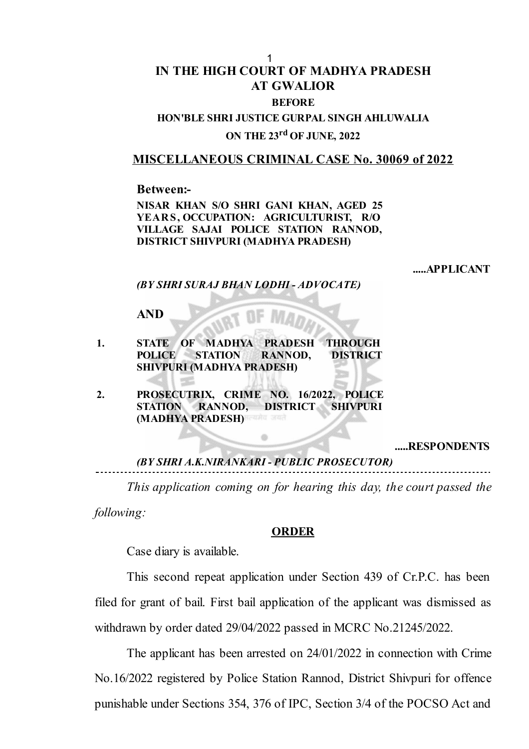## **IN THE HIGH COURT OF MADHYA PRADESH AT GWALIOR BEFORE** 1

## **HON'BLE SHRI JUSTICE GURPAL SINGH AHLUWALIA ON THE 23 rd OF JUNE, 2022**

## **MISCELLANEOUS CRIMINAL CASE No. 30069 of 2022**

**Between:-**

**NISAR KHAN S/O SHRI GANI KHAN, AGED 25 YEAR S, OCCUPATION: AGRICULTURIST, R/O VILLAGE SAJAI POLICE STATION RANNOD, DISTRICT SHIVPURI (MADHYA PRADESH)**

**.....APPLICANT**

*(BY SHRI SURAJ BHAN LODHI - ADVOCATE)*

**AND**

- **1. STATE OF MADHYA PRADESH THROUGH POLICE STATION RANNOD, DISTRICT SHIVPURI (MADHYA PRADESH)**
- **2. PROSECUTRIX, CRIME NO. 16/2022, POLICE STATION RANNOD, DISTRICT SHIVPURI (MADHYA PRADESH)**

**.....RESPONDENTS**

*(BY SHRI A.K.NIRANKARI - PUBLIC PROSECUTOR)*

*This application coming on for hearing this day, the court passed the following:*

## **ORDER**

Case diary is available.

This second repeat application under Section 439 of Cr.P.C. has been filed for grant of bail. First bail application of the applicant was dismissed as withdrawn by order dated 29/04/2022 passed in MCRC No.21245/2022.

The applicant has been arrested on 24/01/2022 in connection with Crime No.16/2022 registered by Police Station Rannod, District Shivpuri for offence punishable under Sections 354, 376 of IPC, Section 3/4 of the POCSO Act and